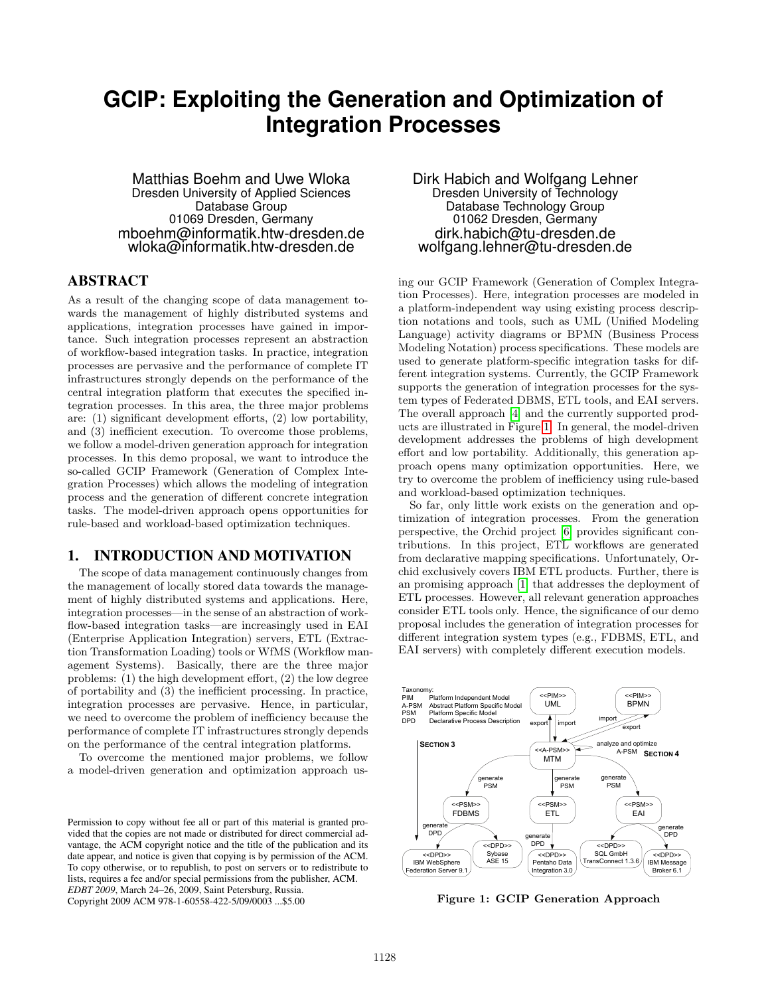# **GCIP: Exploiting the Generation and Optimization of Integration Processes**

Matthias Boehm and Uwe Wloka Dresden University of Applied Sciences Database Group 01069 Dresden, Germany mboehm@informatik.htw-dresden.de wloka@informatik.htw-dresden.de

### ABSTRACT

As a result of the changing scope of data management towards the management of highly distributed systems and applications, integration processes have gained in importance. Such integration processes represent an abstraction of workflow-based integration tasks. In practice, integration processes are pervasive and the performance of complete IT infrastructures strongly depends on the performance of the central integration platform that executes the specified integration processes. In this area, the three major problems are: (1) significant development efforts, (2) low portability, and (3) inefficient execution. To overcome those problems, we follow a model-driven generation approach for integration processes. In this demo proposal, we want to introduce the so-called GCIP Framework (Generation of Complex Integration Processes) which allows the modeling of integration process and the generation of different concrete integration tasks. The model-driven approach opens opportunities for rule-based and workload-based optimization techniques.

## 1. INTRODUCTION AND MOTIVATION

The scope of data management continuously changes from the management of locally stored data towards the management of highly distributed systems and applications. Here, integration processes—in the sense of an abstraction of workflow-based integration tasks—are increasingly used in EAI (Enterprise Application Integration) servers, ETL (Extraction Transformation Loading) tools or WfMS (Workflow management Systems). Basically, there are the three major problems: (1) the high development effort, (2) the low degree of portability and (3) the inefficient processing. In practice, integration processes are pervasive. Hence, in particular, we need to overcome the problem of inefficiency because the performance of complete IT infrastructures strongly depends on the performance of the central integration platforms.

To overcome the mentioned major problems, we follow a model-driven generation and optimization approach usDirk Habich and Wolfgang Lehner Dresden University of Technology Database Technology Group 01062 Dresden, Germany dirk.habich@tu-dresden.de wolfgang.lehner@tu-dresden.de

ing our GCIP Framework (Generation of Complex Integration Processes). Here, integration processes are modeled in a platform-independent way using existing process description notations and tools, such as UML (Unified Modeling Language) activity diagrams or BPMN (Business Process Modeling Notation) process specifications. These models are used to generate platform-specific integration tasks for different integration systems. Currently, the GCIP Framework supports the generation of integration processes for the system types of Federated DBMS, ETL tools, and EAI servers. The overall approach [\[4\]](#page-3-0) and the currently supported products are illustrated in Figure [1.](#page-0-0) In general, the model-driven development addresses the problems of high development effort and low portability. Additionally, this generation approach opens many optimization opportunities. Here, we try to overcome the problem of inefficiency using rule-based and workload-based optimization techniques.

So far, only little work exists on the generation and optimization of integration processes. From the generation perspective, the Orchid project [\[6\]](#page-3-1) provides significant contributions. In this project, ETL workflows are generated from declarative mapping specifications. Unfortunately, Orchid exclusively covers IBM ETL products. Further, there is an promising approach [\[1\]](#page-3-2) that addresses the deployment of ETL processes. However, all relevant generation approaches consider ETL tools only. Hence, the significance of our demo proposal includes the generation of integration processes for different integration system types (e.g., FDBMS, ETL, and EAI servers) with completely different execution models.



<span id="page-0-0"></span>Figure 1: GCIP Generation Approach

Permission to copy without fee all or part of this material is granted provided that the copies are not made or distributed for direct commercial advantage, the ACM copyright notice and the title of the publication and its date appear, and notice is given that copying is by permission of the ACM. To copy otherwise, or to republish, to post on servers or to redistribute to lists, requires a fee and/or special permissions from the publisher, ACM. *EDBT 2009*, March 24–26, 2009, Saint Petersburg, Russia. Copyright 2009 ACM 978-1-60558-422-5/09/0003 ...\$5.00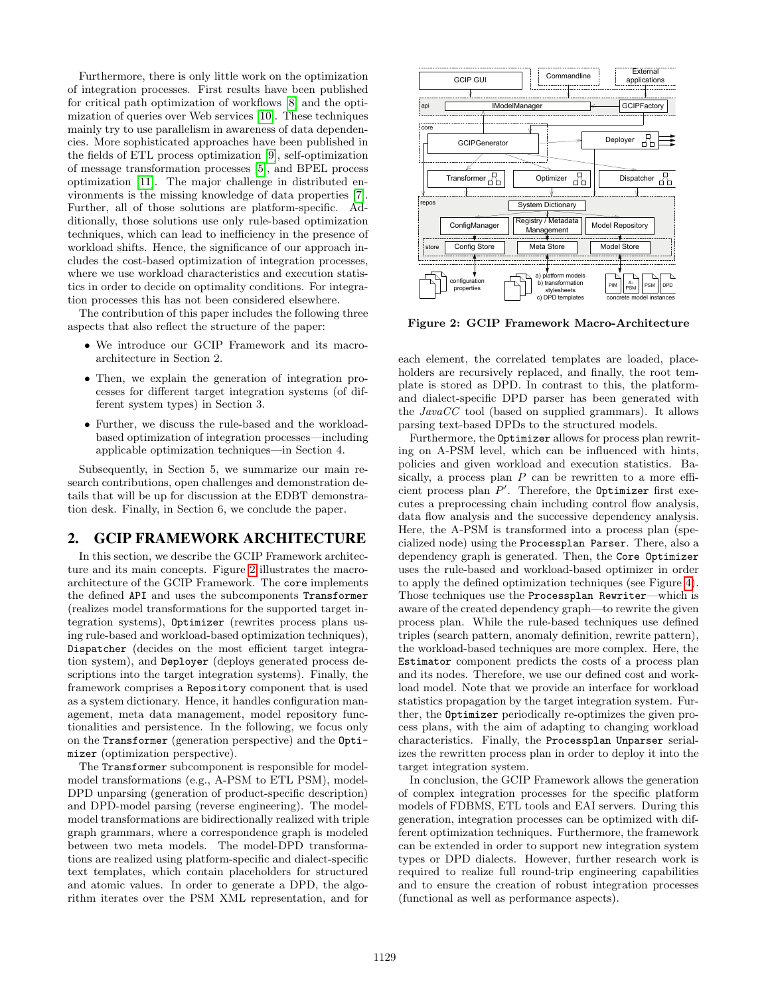Furthermore, there is only little work on the optimization of integration processes. First results have been published for critical path optimization of workflows [\[8\]](#page-3-3) and the optimization of queries over Web services [\[10\]](#page-3-4). These techniques mainly try to use parallelism in awareness of data dependencies. More sophisticated approaches have been published in the fields of ETL process optimization [\[9\]](#page-3-5), self-optimization of message transformation processes [\[5\]](#page-3-6), and BPEL process optimization [\[11\]](#page-3-7). The major challenge in distributed environments is the missing knowledge of data properties [\[7\]](#page-3-8). Further, all of those solutions are platform-specific. Additionally, those solutions use only rule-based optimization techniques, which can lead to inefficiency in the presence of workload shifts. Hence, the significance of our approach includes the cost-based optimization of integration processes, where we use workload characteristics and execution statistics in order to decide on optimality conditions. For integration processes this has not been considered elsewhere.

The contribution of this paper includes the following three aspects that also reflect the structure of the paper:

- We introduce our GCIP Framework and its macroarchitecture in Section 2.
- Then, we explain the generation of integration processes for different target integration systems (of different system types) in Section 3.
- Further, we discuss the rule-based and the workloadbased optimization of integration processes—including applicable optimization techniques—in Section 4.

Subsequently, in Section 5, we summarize our main research contributions, open challenges and demonstration details that will be up for discussion at the EDBT demonstration desk. Finally, in Section 6, we conclude the paper.

## 2. GCIP FRAMEWORK ARCHITECTURE

In this section, we describe the GCIP Framework architecture and its main concepts. Figure [2](#page-1-0) illustrates the macroarchitecture of the GCIP Framework. The core implements the defined API and uses the subcomponents Transformer (realizes model transformations for the supported target integration systems), Optimizer (rewrites process plans using rule-based and workload-based optimization techniques), Dispatcher (decides on the most efficient target integration system), and Deployer (deploys generated process descriptions into the target integration systems). Finally, the framework comprises a Repository component that is used as a system dictionary. Hence, it handles configuration management, meta data management, model repository functionalities and persistence. In the following, we focus only on the Transformer (generation perspective) and the Optimizer (optimization perspective).

The Transformer subcomponent is responsible for modelmodel transformations (e.g., A-PSM to ETL PSM), model-DPD unparsing (generation of product-specific description) and DPD-model parsing (reverse engineering). The modelmodel transformations are bidirectionally realized with triple graph grammars, where a correspondence graph is modeled between two meta models. The model-DPD transformations are realized using platform-specific and dialect-specific text templates, which contain placeholders for structured and atomic values. In order to generate a DPD, the algorithm iterates over the PSM XML representation, and for



<span id="page-1-0"></span>Figure 2: GCIP Framework Macro-Architecture

each element, the correlated templates are loaded, placeholders are recursively replaced, and finally, the root template is stored as DPD. In contrast to this, the platformand dialect-specific DPD parser has been generated with the JavaCC tool (based on supplied grammars). It allows parsing text-based DPDs to the structured models.

Furthermore, the Optimizer allows for process plan rewriting on A-PSM level, which can be influenced with hints, policies and given workload and execution statistics. Basically, a process plan  $P$  can be rewritten to a more efficient process plan  $P'$ . Therefore, the Optimizer first executes a preprocessing chain including control flow analysis, data flow analysis and the successive dependency analysis. Here, the A-PSM is transformed into a process plan (specialized node) using the Processplan Parser. There, also a dependency graph is generated. Then, the Core Optimizer uses the rule-based and workload-based optimizer in order to apply the defined optimization techniques (see Figure [4\)](#page-2-0). Those techniques use the Processplan Rewriter—which is aware of the created dependency graph—to rewrite the given process plan. While the rule-based techniques use defined triples (search pattern, anomaly definition, rewrite pattern), the workload-based techniques are more complex. Here, the Estimator component predicts the costs of a process plan and its nodes. Therefore, we use our defined cost and workload model. Note that we provide an interface for workload statistics propagation by the target integration system. Further, the Optimizer periodically re-optimizes the given process plans, with the aim of adapting to changing workload characteristics. Finally, the Processplan Unparser serializes the rewritten process plan in order to deploy it into the target integration system.

In conclusion, the GCIP Framework allows the generation of complex integration processes for the specific platform models of FDBMS, ETL tools and EAI servers. During this generation, integration processes can be optimized with different optimization techniques. Furthermore, the framework can be extended in order to support new integration system types or DPD dialects. However, further research work is required to realize full round-trip engineering capabilities and to ensure the creation of robust integration processes (functional as well as performance aspects).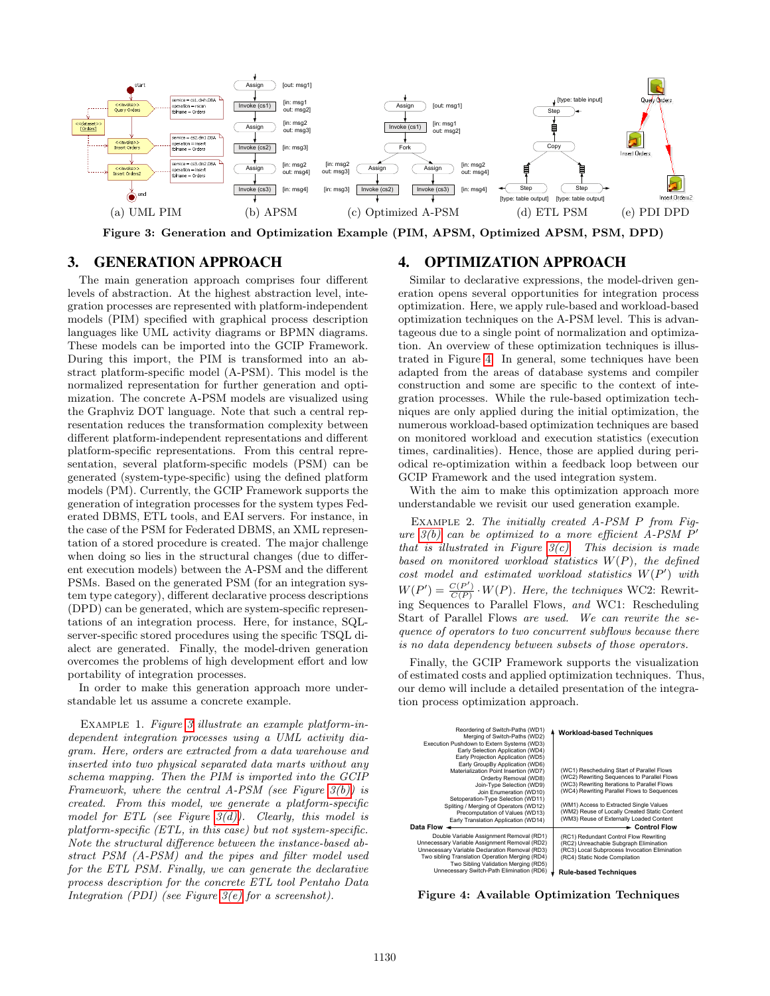<span id="page-2-6"></span>

<span id="page-2-2"></span>Figure 3: Generation and Optimization Example (PIM, APSM, Optimized APSM, PSM, DPD)

### 3. GENERATION APPROACH

The main generation approach comprises four different levels of abstraction. At the highest abstraction level, integration processes are represented with platform-independent models (PIM) specified with graphical process description languages like UML activity diagrams or BPMN diagrams. These models can be imported into the GCIP Framework. During this import, the PIM is transformed into an abstract platform-specific model (A-PSM). This model is the normalized representation for further generation and optimization. The concrete A-PSM models are visualized using the Graphviz DOT language. Note that such a central representation reduces the transformation complexity between different platform-independent representations and different platform-specific representations. From this central representation, several platform-specific models (PSM) can be generated (system-type-specific) using the defined platform models (PM). Currently, the GCIP Framework supports the generation of integration processes for the system types Federated DBMS, ETL tools, and EAI servers. For instance, in the case of the PSM for Federated DBMS, an XML representation of a stored procedure is created. The major challenge when doing so lies in the structural changes (due to different execution models) between the A-PSM and the different PSMs. Based on the generated PSM (for an integration system type category), different declarative process descriptions (DPD) can be generated, which are system-specific representations of an integration process. Here, for instance, SQLserver-specific stored procedures using the specific TSQL dialect are generated. Finally, the model-driven generation overcomes the problems of high development effort and low portability of integration processes.

In order to make this generation approach more understandable let us assume a concrete example.

EXAMPLE 1. Figure [3](#page-2-1) illustrate an example platform-independent integration processes using a UML activity diagram. Here, orders are extracted from a data warehouse and inserted into two physical separated data marts without any schema mapping. Then the PIM is imported into the GCIP Framework, where the central A-PSM (see Figure  $3(b)$ ) is created. From this model, we generate a platform-specific model for ETL (see Figure  $3(d)$ ). Clearly, this model is platform-specific (ETL, in this case) but not system-specific. Note the structural difference between the instance-based abstract PSM (A-PSM) and the pipes and filter model used for the ETL PSM. Finally, we can generate the declarative process description for the concrete ETL tool Pentaho Data Integration (PDI) (see Figure  $3(e)$  for a screenshot).

## <span id="page-2-5"></span><span id="page-2-4"></span><span id="page-2-3"></span><span id="page-2-1"></span>4. OPTIMIZATION APPROACH

Similar to declarative expressions, the model-driven generation opens several opportunities for integration process optimization. Here, we apply rule-based and workload-based optimization techniques on the A-PSM level. This is advantageous due to a single point of normalization and optimization. An overview of these optimization techniques is illustrated in Figure [4.](#page-2-0) In general, some techniques have been adapted from the areas of database systems and compiler construction and some are specific to the context of integration processes. While the rule-based optimization techniques are only applied during the initial optimization, the numerous workload-based optimization techniques are based on monitored workload and execution statistics (execution times, cardinalities). Hence, those are applied during periodical re-optimization within a feedback loop between our GCIP Framework and the used integration system.

With the aim to make this optimization approach more understandable we revisit our used generation example.

EXAMPLE 2. The initially created A-PSM P from Figure  $3(b)$  can be optimized to a more efficient A-PSM  $\overline{P}'$ that is illustrated in Figure  $3(c)$ . This decision is made based on monitored workload statistics  $W(P)$ , the defined  $cost$  model and estimated workload statistics  $W(P')$  with  $W(P') = \frac{C(P')}{C(P)} \cdot W(P)$ . Here, the techniques WC2: Rewriting Sequences to Parallel Flows, and WC1: Rescheduling Start of Parallel Flows are used. We can rewrite the sequence of operators to two concurrent subflows because there is no data dependency between subsets of those operators.

Finally, the GCIP Framework supports the visualization of estimated costs and applied optimization techniques. Thus, our demo will include a detailed presentation of the integration process optimization approach.



<span id="page-2-0"></span>Figure 4: Available Optimization Techniques